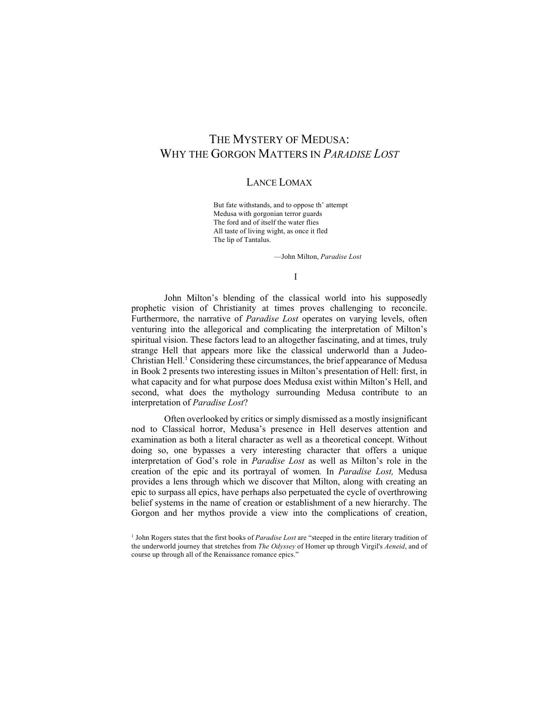## THE MYSTERY OF MEDUSA: WHY THE GORGON MATTERS IN *PARADISE LOST*

## LANCE LOMAX

But fate withstands, and to oppose th' attempt Medusa with gorgonian terror guards The ford and of itself the water flies All taste of living wight, as once it fled The lip of Tantalus.

—John Milton, *Paradise Lost*

## I

John Milton's blending of the classical world into his supposedly prophetic vision of Christianity at times proves challenging to reconcile. Furthermore, the narrative of *Paradise Lost* operates on varying levels, often venturing into the allegorical and complicating the interpretation of Milton's spiritual vision. These factors lead to an altogether fascinating, and at times, truly strange Hell that appears more like the classical underworld than a Judeo-Christian Hell. <sup>1</sup> Considering these circumstances, the brief appearance of Medusa in Book 2 presents two interesting issues in Milton's presentation of Hell: first, in what capacity and for what purpose does Medusa exist within Milton's Hell, and second, what does the mythology surrounding Medusa contribute to an interpretation of *Paradise Lost*?

Often overlooked by critics or simply dismissed as a mostly insignificant nod to Classical horror, Medusa's presence in Hell deserves attention and examination as both a literal character as well as a theoretical concept. Without doing so, one bypasses a very interesting character that offers a unique interpretation of God's role in *Paradise Lost* as well as Milton's role in the creation of the epic and its portrayal of women*.* In *Paradise Lost,* Medusa provides a lens through which we discover that Milton, along with creating an epic to surpass all epics, have perhaps also perpetuated the cycle of overthrowing belief systems in the name of creation or establishment of a new hierarchy. The Gorgon and her mythos provide a view into the complications of creation,

<sup>1</sup> John Rogers states that the first books of *Paradise Lost* are "steeped in the entire literary tradition of the underworld journey that stretches from *The Odyssey* of Homer up through Virgil's *Aeneid*, and of course up through all of the Renaissance romance epics."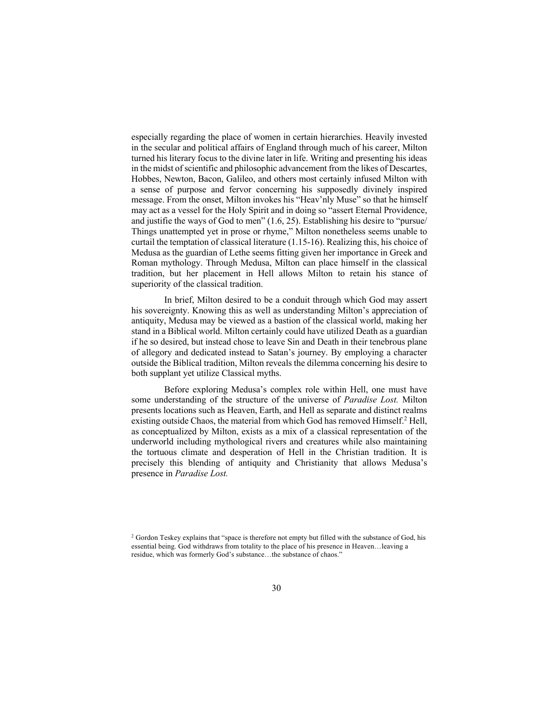especially regarding the place of women in certain hierarchies. Heavily invested in the secular and political affairs of England through much of his career, Milton turned his literary focus to the divine later in life. Writing and presenting his ideas in the midst of scientific and philosophic advancement from the likes of Descartes, Hobbes, Newton, Bacon, Galileo, and others most certainly infused Milton with a sense of purpose and fervor concerning his supposedly divinely inspired message. From the onset, Milton invokes his "Heav'nly Muse" so that he himself may act as a vessel for the Holy Spirit and in doing so "assert Eternal Providence, and justifie the ways of God to men" (1.6, 25). Establishing his desire to "pursue/ Things unattempted yet in prose or rhyme," Milton nonetheless seems unable to curtail the temptation of classical literature (1.15-16). Realizing this, his choice of Medusa as the guardian of Lethe seems fitting given her importance in Greek and Roman mythology. Through Medusa, Milton can place himself in the classical tradition, but her placement in Hell allows Milton to retain his stance of superiority of the classical tradition.

In brief, Milton desired to be a conduit through which God may assert his sovereignty. Knowing this as well as understanding Milton's appreciation of antiquity, Medusa may be viewed as a bastion of the classical world, making her stand in a Biblical world. Milton certainly could have utilized Death as a guardian if he so desired, but instead chose to leave Sin and Death in their tenebrous plane of allegory and dedicated instead to Satan's journey. By employing a character outside the Biblical tradition, Milton reveals the dilemma concerning his desire to both supplant yet utilize Classical myths.

Before exploring Medusa's complex role within Hell, one must have some understanding of the structure of the universe of *Paradise Lost.* Milton presents locations such as Heaven, Earth, and Hell as separate and distinct realms existing outside Chaos, the material from which God has removed Himself. <sup>2</sup> Hell, as conceptualized by Milton, exists as a mix of a classical representation of the underworld including mythological rivers and creatures while also maintaining the tortuous climate and desperation of Hell in the Christian tradition. It is precisely this blending of antiquity and Christianity that allows Medusa's presence in *Paradise Lost.*

<sup>&</sup>lt;sup>2</sup> Gordon Teskey explains that "space is therefore not empty but filled with the substance of God, his essential being. God withdraws from totality to the place of his presence in Heaven…leaving a residue, which was formerly God's substance…the substance of chaos."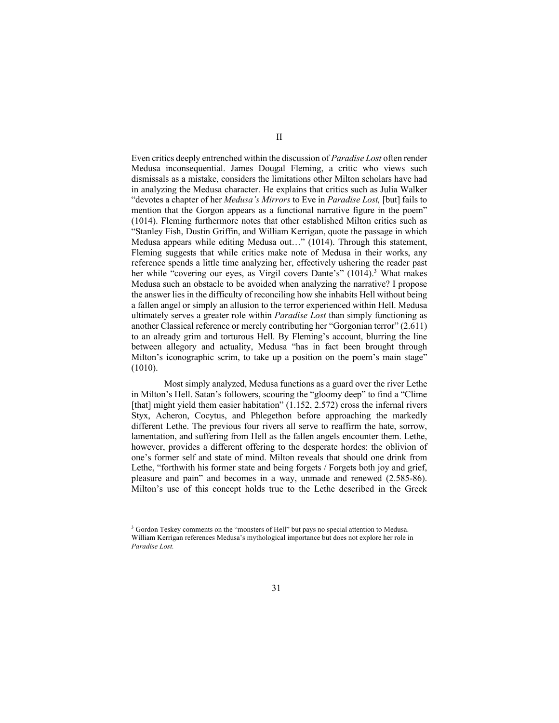Even critics deeply entrenched within the discussion of *Paradise Lost* often render Medusa inconsequential. James Dougal Fleming, a critic who views such dismissals as a mistake, considers the limitations other Milton scholars have had in analyzing the Medusa character. He explains that critics such as Julia Walker "devotes a chapter of her *Medusa's Mirrors* to Eve in *Paradise Lost,* [but] fails to mention that the Gorgon appears as a functional narrative figure in the poem" (1014). Fleming furthermore notes that other established Milton critics such as "Stanley Fish, Dustin Griffin, and William Kerrigan, quote the passage in which Medusa appears while editing Medusa out…" (1014). Through this statement, Fleming suggests that while critics make note of Medusa in their works, any reference spends a little time analyzing her, effectively ushering the reader past her while "covering our eyes, as Virgil covers Dante's" (1014).<sup>3</sup> What makes Medusa such an obstacle to be avoided when analyzing the narrative? I propose the answer lies in the difficulty of reconciling how she inhabits Hell without being a fallen angel or simply an allusion to the terror experienced within Hell. Medusa ultimately serves a greater role within *Paradise Lost* than simply functioning as another Classical reference or merely contributing her "Gorgonian terror" (2.611) to an already grim and torturous Hell. By Fleming's account, blurring the line between allegory and actuality, Medusa "has in fact been brought through Milton's iconographic scrim, to take up a position on the poem's main stage" (1010).

Most simply analyzed, Medusa functions as a guard over the river Lethe in Milton's Hell. Satan's followers, scouring the "gloomy deep" to find a "Clime [that] might yield them easier habitation" (1.152, 2.572) cross the infernal rivers Styx, Acheron, Cocytus, and Phlegethon before approaching the markedly different Lethe. The previous four rivers all serve to reaffirm the hate, sorrow, lamentation, and suffering from Hell as the fallen angels encounter them. Lethe, however, provides a different offering to the desperate hordes: the oblivion of one's former self and state of mind. Milton reveals that should one drink from Lethe, "forthwith his former state and being forgets / Forgets both joy and grief, pleasure and pain" and becomes in a way, unmade and renewed (2.585-86). Milton's use of this concept holds true to the Lethe described in the Greek

<sup>&</sup>lt;sup>3</sup> Gordon Teskey comments on the "monsters of Hell" but pays no special attention to Medusa. William Kerrigan references Medusa's mythological importance but does not explore her role in *Paradise Lost.*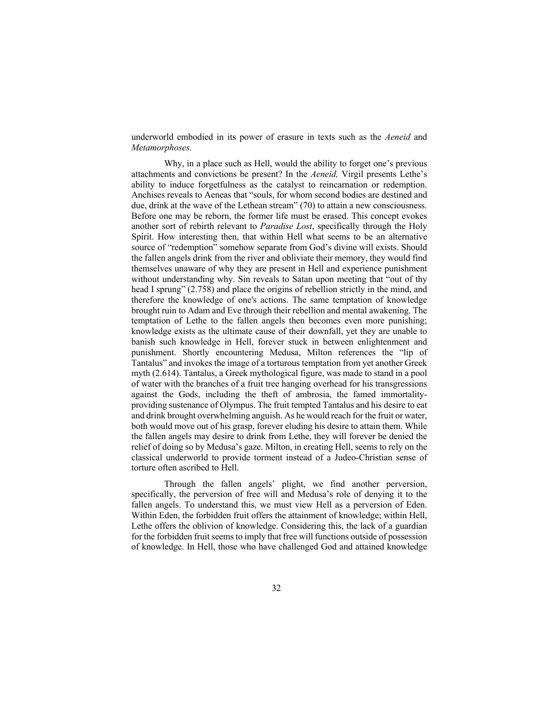underworld embodied in its power of erasure in texts such as the *Aeneid* and *Metamorphoses.*

Why, in a place such as Hell, would the ability to forget one's previous attachments and convictions be present? In the *Aeneid,* Virgil presents Lethe's ability to induce forgetfulness as the catalyst to reincarnation or redemption. Anchises reveals to Aeneas that "souls, for whom second bodies are destined and due, drink at the wave of the Lethean stream" (70) to attain a new consciousness. Before one may be reborn, the former life must be erased. This concept evokes another sort of rebirth relevant to *Paradise Lost*, specifically through the Holy Spirit. How interesting then, that within Hell what seems to be an alternative source of "redemption" somehow separate from God's divine will exists. Should the fallen angels drink from the river and obliviate their memory, they would find themselves unaware of why they are present in Hell and experience punishment without understanding why. Sin reveals to Satan upon meeting that "out of thy head I sprung" (2.758) and place the origins of rebellion strictly in the mind, and therefore the knowledge of one's actions. The same temptation of knowledge brought ruin to Adam and Eve through their rebellion and mental awakening. The temptation of Lethe to the fallen angels then becomes even more punishing; knowledge exists as the ultimate cause of their downfall, yet they are unable to banish such knowledge in Hell, forever stuck in between enlightenment and punishment. Shortly encountering Medusa, Milton references the "lip of Tantalus" and invokes the image of a torturous temptation from yet another Greek myth (2.614). Tantalus, a Greek mythological figure, was made to stand in a pool of water with the branches of a fruit tree hanging overhead for his transgressions against the Gods, including the theft of ambrosia, the famed immortalityproviding sustenance of Olympus. The fruit tempted Tantalus and his desire to eat and drink brought overwhelming anguish. As he would reach for the fruit or water, both would move out of his grasp, forever eluding his desire to attain them. While the fallen angels may desire to drink from Lethe, they will forever be denied the relief of doing so by Medusa's gaze. Milton, in creating Hell, seems to rely on the classical underworld to provide torment instead of a Judeo-Christian sense of torture often ascribed to Hell.

Through the fallen angels' plight, we find another perversion, specifically, the perversion of free will and Medusa's role of denying it to the fallen angels. To understand this, we must view Hell as a perversion of Eden. Within Eden, the forbidden fruit offers the attainment of knowledge; within Hell, Lethe offers the oblivion of knowledge. Considering this, the lack of a guardian for the forbidden fruit seems to imply that free will functions outside of possession of knowledge. In Hell, those who have challenged God and attained knowledge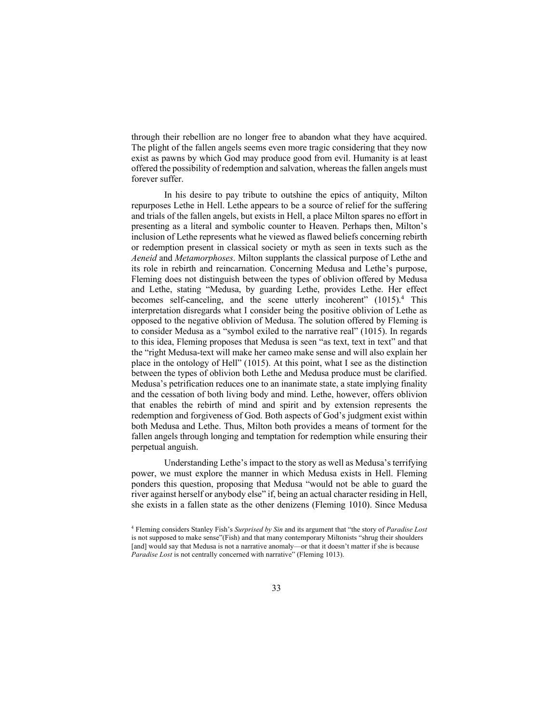through their rebellion are no longer free to abandon what they have acquired. The plight of the fallen angels seems even more tragic considering that they now exist as pawns by which God may produce good from evil. Humanity is at least offered the possibility of redemption and salvation, whereas the fallen angels must forever suffer.

In his desire to pay tribute to outshine the epics of antiquity, Milton repurposes Lethe in Hell. Lethe appears to be a source of relief for the suffering and trials of the fallen angels, but exists in Hell, a place Milton spares no effort in presenting as a literal and symbolic counter to Heaven. Perhaps then, Milton's inclusion of Lethe represents what he viewed as flawed beliefs concerning rebirth or redemption present in classical society or myth as seen in texts such as the *Aeneid* and *Metamorphoses*. Milton supplants the classical purpose of Lethe and its role in rebirth and reincarnation. Concerning Medusa and Lethe's purpose, Fleming does not distinguish between the types of oblivion offered by Medusa and Lethe, stating "Medusa, by guarding Lethe, provides Lethe. Her effect becomes self-canceling, and the scene utterly incoherent" (1015).<sup>4</sup> This interpretation disregards what I consider being the positive oblivion of Lethe as opposed to the negative oblivion of Medusa. The solution offered by Fleming is to consider Medusa as a "symbol exiled to the narrative real" (1015). In regards to this idea, Fleming proposes that Medusa is seen "as text, text in text" and that the "right Medusa-text will make her cameo make sense and will also explain her place in the ontology of Hell" (1015). At this point, what I see as the distinction between the types of oblivion both Lethe and Medusa produce must be clarified. Medusa's petrification reduces one to an inanimate state, a state implying finality and the cessation of both living body and mind. Lethe, however, offers oblivion that enables the rebirth of mind and spirit and by extension represents the redemption and forgiveness of God. Both aspects of God's judgment exist within both Medusa and Lethe. Thus, Milton both provides a means of torment for the fallen angels through longing and temptation for redemption while ensuring their perpetual anguish.

Understanding Lethe's impact to the story as well as Medusa's terrifying power, we must explore the manner in which Medusa exists in Hell. Fleming ponders this question, proposing that Medusa "would not be able to guard the river against herself or anybody else" if, being an actual character residing in Hell, she exists in a fallen state as the other denizens (Fleming 1010). Since Medusa

<sup>4</sup> Fleming considers Stanley Fish's *Surprised by Sin* and its argument that "the story of *Paradise Lost* is not supposed to make sense"(Fish) and that many contemporary Miltonists "shrug their shoulders [and] would say that Medusa is not a narrative anomaly—or that it doesn't matter if she is because *Paradise Lost* is not centrally concerned with narrative" (Fleming 1013).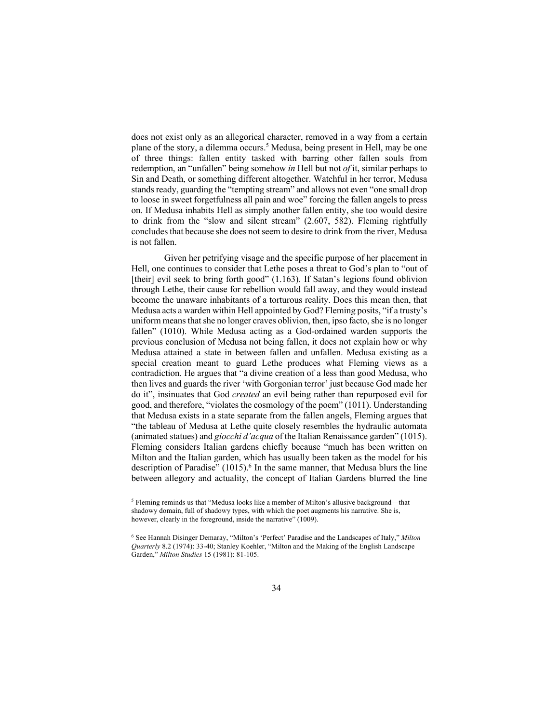does not exist only as an allegorical character, removed in a way from a certain plane of the story, a dilemma occurs. <sup>5</sup> Medusa, being present in Hell, may be one of three things: fallen entity tasked with barring other fallen souls from redemption, an "unfallen" being somehow *in* Hell but not *of* it, similar perhaps to Sin and Death, or something different altogether. Watchful in her terror, Medusa stands ready, guarding the "tempting stream" and allows not even "one small drop to loose in sweet forgetfulness all pain and woe" forcing the fallen angels to press on. If Medusa inhabits Hell as simply another fallen entity, she too would desire to drink from the "slow and silent stream" (2.607, 582). Fleming rightfully concludes that because she does not seem to desire to drink from the river, Medusa is not fallen.

Given her petrifying visage and the specific purpose of her placement in Hell, one continues to consider that Lethe poses a threat to God's plan to "out of [their] evil seek to bring forth good" (1.163). If Satan's legions found oblivion through Lethe, their cause for rebellion would fall away, and they would instead become the unaware inhabitants of a torturous reality. Does this mean then, that Medusa acts a warden within Hell appointed by God? Fleming posits, "if a trusty's uniform means that she no longer craves oblivion, then, ipso facto, she is no longer fallen" (1010). While Medusa acting as a God-ordained warden supports the previous conclusion of Medusa not being fallen, it does not explain how or why Medusa attained a state in between fallen and unfallen. Medusa existing as a special creation meant to guard Lethe produces what Fleming views as a contradiction. He argues that "a divine creation of a less than good Medusa, who then lives and guards the river 'with Gorgonian terror' just because God made her do it", insinuates that God *created* an evil being rather than repurposed evil for good, and therefore, "violates the cosmology of the poem" (1011). Understanding that Medusa exists in a state separate from the fallen angels, Fleming argues that "the tableau of Medusa at Lethe quite closely resembles the hydraulic automata (animated statues) and *giocchi d'acqua* of the Italian Renaissance garden" (1015). Fleming considers Italian gardens chiefly because "much has been written on Milton and the Italian garden, which has usually been taken as the model for his description of Paradise" (1015). <sup>6</sup> In the same manner, that Medusa blurs the line between allegory and actuality, the concept of Italian Gardens blurred the line

<sup>5</sup> Fleming reminds us that "Medusa looks like a member of Milton's allusive background—that shadowy domain, full of shadowy types, with which the poet augments his narrative. She is, however, clearly in the foreground, inside the narrative" (1009).

<sup>6</sup> See Hannah Disinger Demaray, "Milton's 'Perfect' Paradise and the Landscapes of Italy," *Milton Quarterly* 8.2 (1974): 33-40; Stanley Koehler, "Milton and the Making of the English Landscape Garden," *Milton Studies* 15 (1981): 81-105.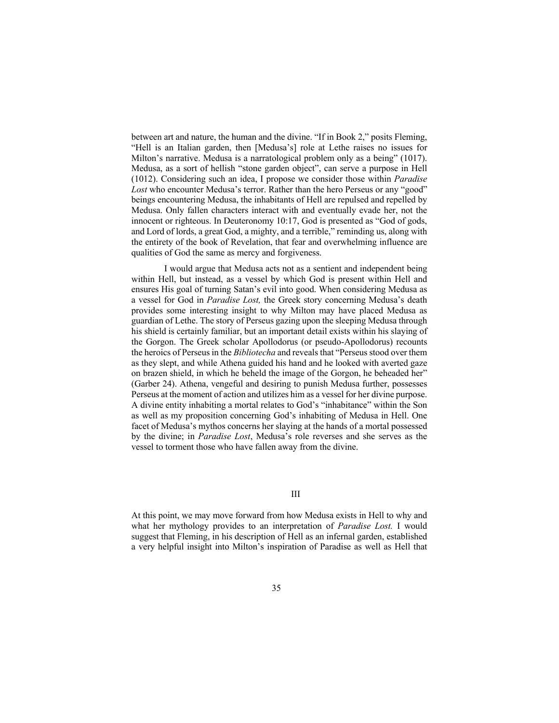between art and nature, the human and the divine. "If in Book 2," posits Fleming, "Hell is an Italian garden, then [Medusa's] role at Lethe raises no issues for Milton's narrative. Medusa is a narratological problem only as a being" (1017). Medusa, as a sort of hellish "stone garden object", can serve a purpose in Hell (1012). Considering such an idea, I propose we consider those within *Paradise Lost* who encounter Medusa's terror. Rather than the hero Perseus or any "good" beings encountering Medusa, the inhabitants of Hell are repulsed and repelled by Medusa. Only fallen characters interact with and eventually evade her, not the innocent or righteous. In Deuteronomy 10:17, God is presented as "God of gods, and Lord of lords, a great God, a mighty, and a terrible," reminding us, along with the entirety of the book of Revelation, that fear and overwhelming influence are qualities of God the same as mercy and forgiveness.

I would argue that Medusa acts not as a sentient and independent being within Hell, but instead, as a vessel by which God is present within Hell and ensures His goal of turning Satan's evil into good. When considering Medusa as a vessel for God in *Paradise Lost,* the Greek story concerning Medusa's death provides some interesting insight to why Milton may have placed Medusa as guardian of Lethe. The story of Perseus gazing upon the sleeping Medusa through his shield is certainly familiar, but an important detail exists within his slaying of the Gorgon. The Greek scholar Apollodorus (or pseudo-Apollodorus) recounts the heroics of Perseus in the *Bibliotecha* and reveals that "Perseus stood over them as they slept, and while Athena guided his hand and he looked with averted gaze on brazen shield, in which he beheld the image of the Gorgon, he beheaded her" (Garber 24). Athena, vengeful and desiring to punish Medusa further, possesses Perseus at the moment of action and utilizes him as a vessel for her divine purpose. A divine entity inhabiting a mortal relates to God's "inhabitance" within the Son as well as my proposition concerning God's inhabiting of Medusa in Hell. One facet of Medusa's mythos concerns her slaying at the hands of a mortal possessed by the divine; in *Paradise Lost*, Medusa's role reverses and she serves as the vessel to torment those who have fallen away from the divine.

III

At this point, we may move forward from how Medusa exists in Hell to why and what her mythology provides to an interpretation of *Paradise Lost.* I would suggest that Fleming, in his description of Hell as an infernal garden, established a very helpful insight into Milton's inspiration of Paradise as well as Hell that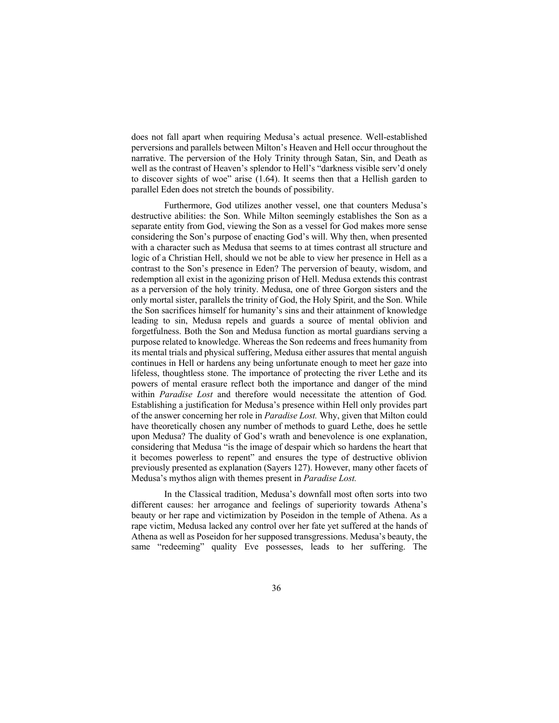does not fall apart when requiring Medusa's actual presence. Well-established perversions and parallels between Milton's Heaven and Hell occur throughout the narrative. The perversion of the Holy Trinity through Satan, Sin, and Death as well as the contrast of Heaven's splendor to Hell's "darkness visible serv'd onely to discover sights of woe" arise (1.64). It seems then that a Hellish garden to parallel Eden does not stretch the bounds of possibility.

Furthermore, God utilizes another vessel, one that counters Medusa's destructive abilities: the Son. While Milton seemingly establishes the Son as a separate entity from God, viewing the Son as a vessel for God makes more sense considering the Son's purpose of enacting God's will. Why then, when presented with a character such as Medusa that seems to at times contrast all structure and logic of a Christian Hell, should we not be able to view her presence in Hell as a contrast to the Son's presence in Eden? The perversion of beauty, wisdom, and redemption all exist in the agonizing prison of Hell. Medusa extends this contrast as a perversion of the holy trinity. Medusa, one of three Gorgon sisters and the only mortal sister, parallels the trinity of God, the Holy Spirit, and the Son. While the Son sacrifices himself for humanity's sins and their attainment of knowledge leading to sin, Medusa repels and guards a source of mental oblivion and forgetfulness. Both the Son and Medusa function as mortal guardians serving a purpose related to knowledge. Whereas the Son redeems and frees humanity from its mental trials and physical suffering, Medusa either assures that mental anguish continues in Hell or hardens any being unfortunate enough to meet her gaze into lifeless, thoughtless stone. The importance of protecting the river Lethe and its powers of mental erasure reflect both the importance and danger of the mind within *Paradise Lost* and therefore would necessitate the attention of God*.*  Establishing a justification for Medusa's presence within Hell only provides part of the answer concerning her role in *Paradise Lost.* Why, given that Milton could have theoretically chosen any number of methods to guard Lethe, does he settle upon Medusa? The duality of God's wrath and benevolence is one explanation, considering that Medusa "is the image of despair which so hardens the heart that it becomes powerless to repent" and ensures the type of destructive oblivion previously presented as explanation (Sayers 127). However, many other facets of Medusa's mythos align with themes present in *Paradise Lost.*

In the Classical tradition, Medusa's downfall most often sorts into two different causes: her arrogance and feelings of superiority towards Athena's beauty or her rape and victimization by Poseidon in the temple of Athena. As a rape victim, Medusa lacked any control over her fate yet suffered at the hands of Athena as well as Poseidon for her supposed transgressions. Medusa's beauty, the same "redeeming" quality Eve possesses, leads to her suffering. The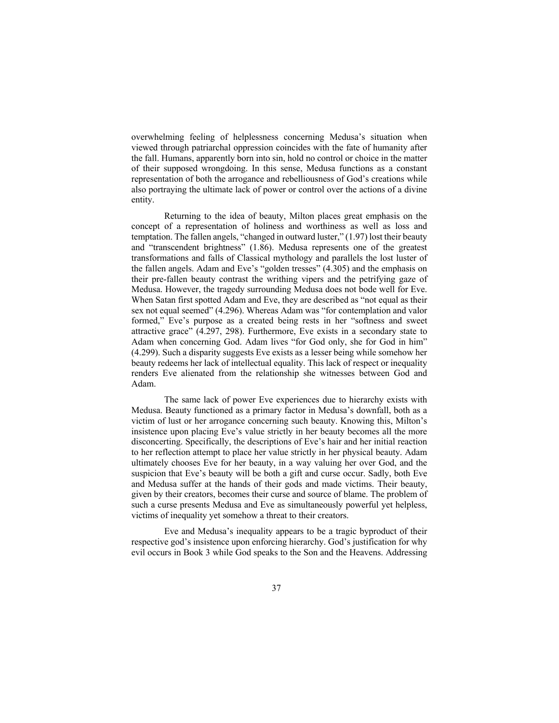overwhelming feeling of helplessness concerning Medusa's situation when viewed through patriarchal oppression coincides with the fate of humanity after the fall. Humans, apparently born into sin, hold no control or choice in the matter of their supposed wrongdoing. In this sense, Medusa functions as a constant representation of both the arrogance and rebelliousness of God's creations while also portraying the ultimate lack of power or control over the actions of a divine entity.

Returning to the idea of beauty, Milton places great emphasis on the concept of a representation of holiness and worthiness as well as loss and temptation. The fallen angels, "changed in outward luster," (1.97) lost their beauty and "transcendent brightness" (1.86). Medusa represents one of the greatest transformations and falls of Classical mythology and parallels the lost luster of the fallen angels. Adam and Eve's "golden tresses" (4.305) and the emphasis on their pre-fallen beauty contrast the writhing vipers and the petrifying gaze of Medusa. However, the tragedy surrounding Medusa does not bode well for Eve. When Satan first spotted Adam and Eve, they are described as "not equal as their sex not equal seemed" (4.296). Whereas Adam was "for contemplation and valor formed," Eve's purpose as a created being rests in her "softness and sweet attractive grace" (4.297, 298). Furthermore, Eve exists in a secondary state to Adam when concerning God. Adam lives "for God only, she for God in him" (4.299). Such a disparity suggests Eve exists as a lesser being while somehow her beauty redeems her lack of intellectual equality. This lack of respect or inequality renders Eve alienated from the relationship she witnesses between God and Adam.

The same lack of power Eve experiences due to hierarchy exists with Medusa. Beauty functioned as a primary factor in Medusa's downfall, both as a victim of lust or her arrogance concerning such beauty. Knowing this, Milton's insistence upon placing Eve's value strictly in her beauty becomes all the more disconcerting. Specifically, the descriptions of Eve's hair and her initial reaction to her reflection attempt to place her value strictly in her physical beauty. Adam ultimately chooses Eve for her beauty, in a way valuing her over God, and the suspicion that Eve's beauty will be both a gift and curse occur. Sadly, both Eve and Medusa suffer at the hands of their gods and made victims. Their beauty, given by their creators, becomes their curse and source of blame. The problem of such a curse presents Medusa and Eve as simultaneously powerful yet helpless, victims of inequality yet somehow a threat to their creators.

Eve and Medusa's inequality appears to be a tragic byproduct of their respective god's insistence upon enforcing hierarchy. God's justification for why evil occurs in Book 3 while God speaks to the Son and the Heavens. Addressing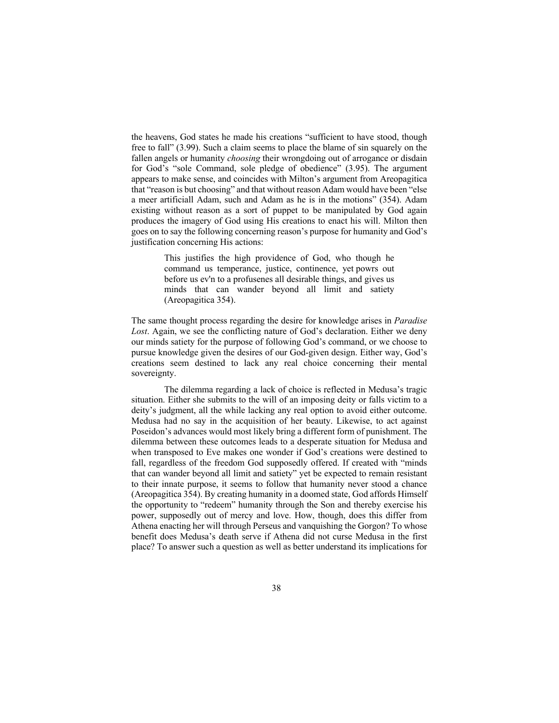the heavens, God states he made his creations "sufficient to have stood, though free to fall" (3.99). Such a claim seems to place the blame of sin squarely on the fallen angels or humanity *choosing* their wrongdoing out of arrogance or disdain for God's "sole Command, sole pledge of obedience" (3.95). The argument appears to make sense, and coincides with Milton's argument from Areopagitica that "reason is but choosing" and that without reason Adam would have been "else a meer artificiall Adam, such and Adam as he is in the motions" (354). Adam existing without reason as a sort of puppet to be manipulated by God again produces the imagery of God using His creations to enact his will. Milton then goes on to say the following concerning reason's purpose for humanity and God's justification concerning His actions:

> This justifies the high providence of God, who though he command us temperance, justice, continence, yet powrs out before us ev'n to a profusenes all desirable things, and gives us minds that can wander beyond all limit and satiety (Areopagitica 354).

The same thought process regarding the desire for knowledge arises in *Paradise Lost*. Again, we see the conflicting nature of God's declaration. Either we deny our minds satiety for the purpose of following God's command, or we choose to pursue knowledge given the desires of our God-given design. Either way, God's creations seem destined to lack any real choice concerning their mental sovereignty.

The dilemma regarding a lack of choice is reflected in Medusa's tragic situation. Either she submits to the will of an imposing deity or falls victim to a deity's judgment, all the while lacking any real option to avoid either outcome. Medusa had no say in the acquisition of her beauty. Likewise, to act against Poseidon's advances would most likely bring a different form of punishment. The dilemma between these outcomes leads to a desperate situation for Medusa and when transposed to Eve makes one wonder if God's creations were destined to fall, regardless of the freedom God supposedly offered. If created with "minds that can wander beyond all limit and satiety" yet be expected to remain resistant to their innate purpose, it seems to follow that humanity never stood a chance (Areopagitica 354). By creating humanity in a doomed state, God affords Himself the opportunity to "redeem" humanity through the Son and thereby exercise his power, supposedly out of mercy and love. How, though, does this differ from Athena enacting her will through Perseus and vanquishing the Gorgon? To whose benefit does Medusa's death serve if Athena did not curse Medusa in the first place? To answer such a question as well as better understand its implications for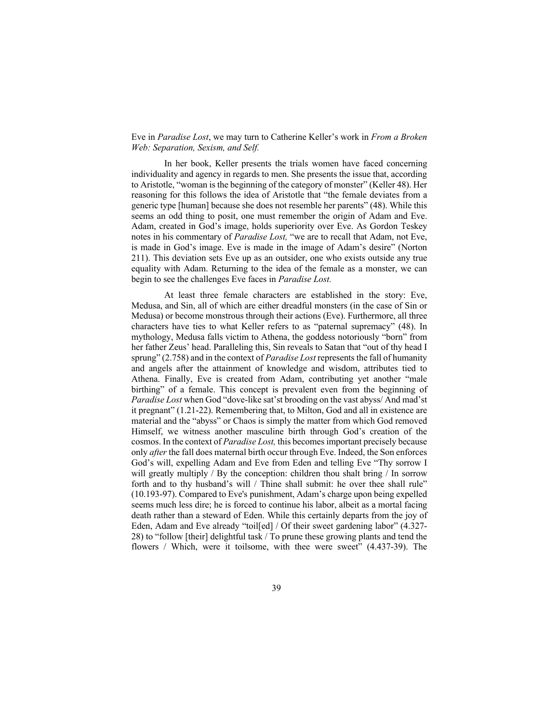Eve in *Paradise Lost*, we may turn to Catherine Keller's work in *From a Broken Web: Separation, Sexism, and Self.* 

In her book, Keller presents the trials women have faced concerning individuality and agency in regards to men. She presents the issue that, according to Aristotle, "woman is the beginning of the category of monster" (Keller 48). Her reasoning for this follows the idea of Aristotle that "the female deviates from a generic type [human] because she does not resemble her parents" (48). While this seems an odd thing to posit, one must remember the origin of Adam and Eve. Adam, created in God's image, holds superiority over Eve. As Gordon Teskey notes in his commentary of *Paradise Lost,* "we are to recall that Adam, not Eve, is made in God's image. Eve is made in the image of Adam's desire" (Norton 211). This deviation sets Eve up as an outsider, one who exists outside any true equality with Adam. Returning to the idea of the female as a monster, we can begin to see the challenges Eve faces in *Paradise Lost.* 

At least three female characters are established in the story: Eve, Medusa, and Sin, all of which are either dreadful monsters (in the case of Sin or Medusa) or become monstrous through their actions (Eve). Furthermore, all three characters have ties to what Keller refers to as "paternal supremacy" (48). In mythology, Medusa falls victim to Athena, the goddess notoriously "born" from her father Zeus' head. Paralleling this, Sin reveals to Satan that "out of thy head I sprung" (2.758) and in the context of *Paradise Lost* represents the fall of humanity and angels after the attainment of knowledge and wisdom, attributes tied to Athena. Finally, Eve is created from Adam, contributing yet another "male birthing" of a female. This concept is prevalent even from the beginning of *Paradise Lost* when God "dove-like sat'st brooding on the vast abyss/ And mad'st it pregnant" (1.21-22). Remembering that, to Milton, God and all in existence are material and the "abyss" or Chaos is simply the matter from which God removed Himself, we witness another masculine birth through God's creation of the cosmos. In the context of *Paradise Lost,* this becomes important precisely because only *after* the fall does maternal birth occur through Eve. Indeed, the Son enforces God's will, expelling Adam and Eve from Eden and telling Eve "Thy sorrow I will greatly multiply / By the conception: children thou shalt bring / In sorrow forth and to thy husband's will / Thine shall submit: he over thee shall rule" (10.193-97). Compared to Eve's punishment, Adam's charge upon being expelled seems much less dire; he is forced to continue his labor, albeit as a mortal facing death rather than a steward of Eden. While this certainly departs from the joy of Eden, Adam and Eve already "toil[ed] / Of their sweet gardening labor" (4.327- 28) to "follow [their] delightful task / To prune these growing plants and tend the flowers / Which, were it toilsome, with thee were sweet" (4.437-39). The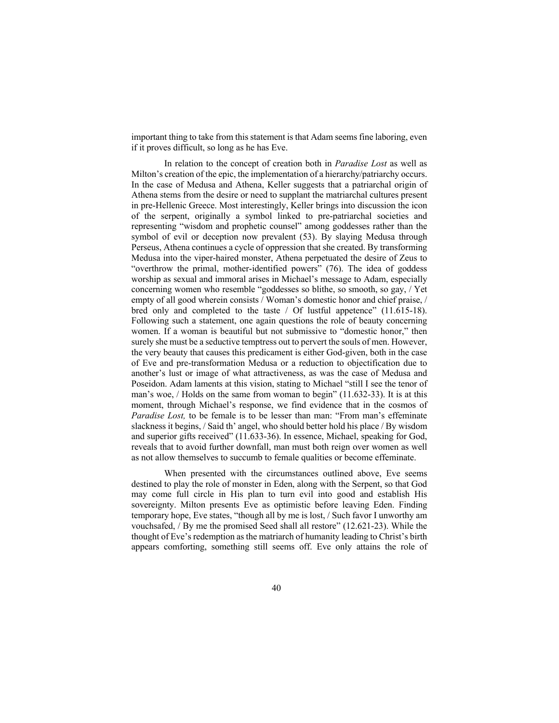important thing to take from this statement is that Adam seems fine laboring, even if it proves difficult, so long as he has Eve.

In relation to the concept of creation both in *Paradise Lost* as well as Milton's creation of the epic, the implementation of a hierarchy/patriarchy occurs. In the case of Medusa and Athena, Keller suggests that a patriarchal origin of Athena stems from the desire or need to supplant the matriarchal cultures present in pre-Hellenic Greece. Most interestingly, Keller brings into discussion the icon of the serpent, originally a symbol linked to pre-patriarchal societies and representing "wisdom and prophetic counsel" among goddesses rather than the symbol of evil or deception now prevalent (53). By slaying Medusa through Perseus, Athena continues a cycle of oppression that she created. By transforming Medusa into the viper-haired monster, Athena perpetuated the desire of Zeus to "overthrow the primal, mother-identified powers" (76). The idea of goddess worship as sexual and immoral arises in Michael's message to Adam, especially concerning women who resemble "goddesses so blithe, so smooth, so gay, / Yet empty of all good wherein consists / Woman's domestic honor and chief praise, / bred only and completed to the taste / Of lustful appetence" (11.615-18). Following such a statement, one again questions the role of beauty concerning women. If a woman is beautiful but not submissive to "domestic honor," then surely she must be a seductive temptress out to pervert the souls of men. However, the very beauty that causes this predicament is either God-given, both in the case of Eve and pre-transformation Medusa or a reduction to objectification due to another's lust or image of what attractiveness, as was the case of Medusa and Poseidon. Adam laments at this vision, stating to Michael "still I see the tenor of man's woe, / Holds on the same from woman to begin" (11.632-33). It is at this moment, through Michael's response, we find evidence that in the cosmos of *Paradise Lost,* to be female is to be lesser than man: "From man's effeminate slackness it begins, / Said th' angel, who should better hold his place / By wisdom and superior gifts received" (11.633-36). In essence, Michael, speaking for God, reveals that to avoid further downfall, man must both reign over women as well as not allow themselves to succumb to female qualities or become effeminate.

When presented with the circumstances outlined above, Eve seems destined to play the role of monster in Eden, along with the Serpent, so that God may come full circle in His plan to turn evil into good and establish His sovereignty. Milton presents Eve as optimistic before leaving Eden. Finding temporary hope, Eve states, "though all by me is lost, / Such favor I unworthy am vouchsafed, / By me the promised Seed shall all restore" (12.621-23). While the thought of Eve's redemption as the matriarch of humanity leading to Christ's birth appears comforting, something still seems off. Eve only attains the role of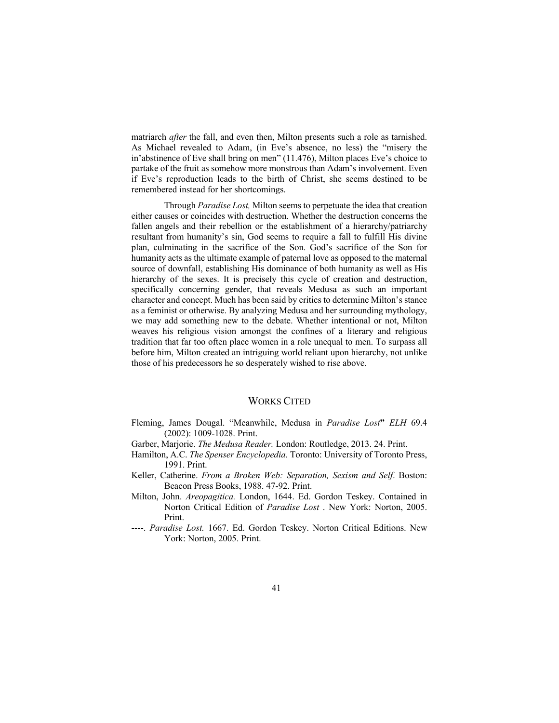matriarch *after* the fall, and even then, Milton presents such a role as tarnished. As Michael revealed to Adam, (in Eve's absence, no less) the "misery the in'abstinence of Eve shall bring on men" (11.476), Milton places Eve's choice to partake of the fruit as somehow more monstrous than Adam's involvement. Even if Eve's reproduction leads to the birth of Christ, she seems destined to be remembered instead for her shortcomings.

Through *Paradise Lost,* Milton seems to perpetuate the idea that creation either causes or coincides with destruction. Whether the destruction concerns the fallen angels and their rebellion or the establishment of a hierarchy/patriarchy resultant from humanity's sin, God seems to require a fall to fulfill His divine plan, culminating in the sacrifice of the Son. God's sacrifice of the Son for humanity acts as the ultimate example of paternal love as opposed to the maternal source of downfall, establishing His dominance of both humanity as well as His hierarchy of the sexes. It is precisely this cycle of creation and destruction, specifically concerning gender, that reveals Medusa as such an important character and concept. Much has been said by critics to determine Milton's stance as a feminist or otherwise. By analyzing Medusa and her surrounding mythology, we may add something new to the debate. Whether intentional or not, Milton weaves his religious vision amongst the confines of a literary and religious tradition that far too often place women in a role unequal to men. To surpass all before him, Milton created an intriguing world reliant upon hierarchy, not unlike those of his predecessors he so desperately wished to rise above.

## WORKS CITED

- Fleming, James Dougal. "Meanwhile, Medusa in *Paradise Lost***"** *ELH* 69.4 (2002): 1009-1028. Print.
- Garber, Marjorie. *The Medusa Reader.* London: Routledge, 2013. 24. Print.
- Hamilton, A.C. *The Spenser Encyclopedia.* Toronto: University of Toronto Press, 1991. Print.
- Keller, Catherine. *From a Broken Web: Separation, Sexism and Self*. Boston: Beacon Press Books, 1988. 47-92. Print.
- Milton, John. *Areopagitica.* London, 1644. Ed. Gordon Teskey. Contained in Norton Critical Edition of *Paradise Lost* . New York: Norton, 2005. Print.
- ----. *Paradise Lost.* 1667. Ed. Gordon Teskey. Norton Critical Editions. New York: Norton, 2005. Print.